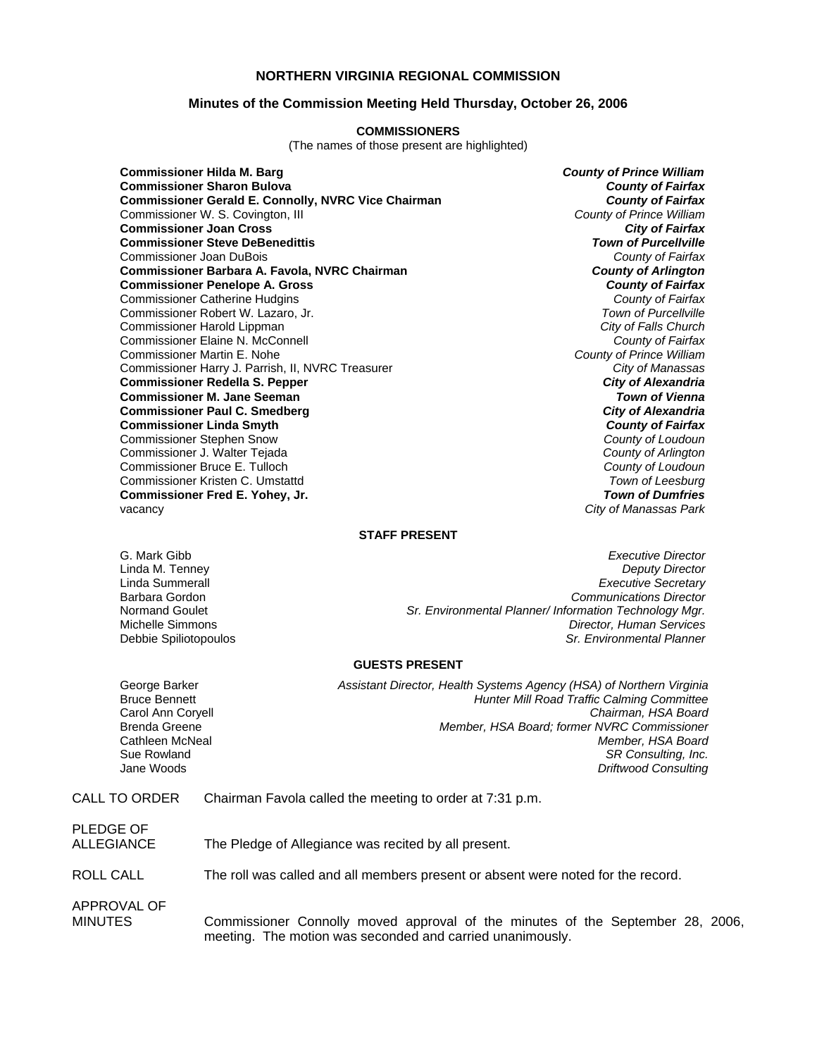#### **NORTHERN VIRGINIA REGIONAL COMMISSION**

#### **Minutes of the Commission Meeting Held Thursday, October 26, 2006**

#### **COMMISSIONERS**

(The names of those present are highlighted)

**Commissioner Hilda M. Barg** *County of Prince William* **Commissioner Sharon Bulova** *County of Fairfax* **Commissioner Gerald E. Connolly, NVRC Vice Chairman** *County of Fairfax**County of Fairfax***<br>Commissioner W. S. Covington, Ill <b>County of Prince William** Commissioner W. S. Covington, III *County of Prince William* **Commissioner Joan Cross** *City of Fairfax* **Commissioner Steve DeBenedittis** *Town of Purcellville* Commissioner Joan DuBois *County of Fairfax* **Commissioner Barbara A. Favola, NVRC Chairman** *County of Arlington* **Commissioner Penelope A. Gross** Commissioner Catherine Hudgins *County of Fairfax* Commissioner Robert W. Lazaro, Jr. *Town of Purcellville* Commissioner Harold Lippman *City of Falls Church* Commissioner Elaine N. McConnell *County of Fairfax* Commissioner Martin E. Nohe *County of Prince William* Commissioner Harry J. Parrish, II, NVRC Treasurer *City of Manassas* **Commissioner Redella S. Pepper Commissioner M. Jane Seeman** *Town of Vienna* **Commissioner Paul C. Smedberg** *City of Alexandria* **Commissioner Linda Smyth** *County of Fairfax*<br> **County of Fairfax**<br> **County of Loudoun** Commissioner Stephen Snow *County of Loudoun* Commissioner J. Walter Tejada *County of Arlington* Commissioner Bruce E. Tulloch *County of Loudoun* Commissioner Kristen C. Umstattd **Commissioner Fred E. Yohey, Jr.** *Town of Dumfries* vacancy *City of Manassas Park*

#### **STAFF PRESENT**

G. Mark Gibb *Executive Director* Linda M. Tenney *Deputy Director* **Executive Secretary** Barbara Gordon *Communications Director* Sr. Environmental Planner/ Information Technology Mgr. Michelle Simmons *Director, Human Services* **Sr. Environmental Planner** 

#### **GUESTS PRESENT**

George Barker *Assistant Director, Health Systems Agency (HSA) of Northern Virginia* Bruce Bennett *Hunter Mill Road Traffic Calming Committee* Carol Ann Coryell *Chairman, HSA Board* Brenda Greene *Member, HSA Board; former NVRC Commissioner* Member, HSA Board Sue Rowland *SR Consulting, Inc.*  Jane Woods *Driftwood Consulting* 

CALL TO ORDER Chairman Favola called the meeting to order at 7:31 p.m.

| PLEDGE OF   |  |
|-------------|--|
| ALL EGIANCE |  |

CE The Pledge of Allegiance was recited by all present.

ROLL CALL The roll was called and all members present or absent were noted for the record.

APPROVAL OF

MINUTES Commissioner Connolly moved approval of the minutes of the September 28, 2006, meeting. The motion was seconded and carried unanimously.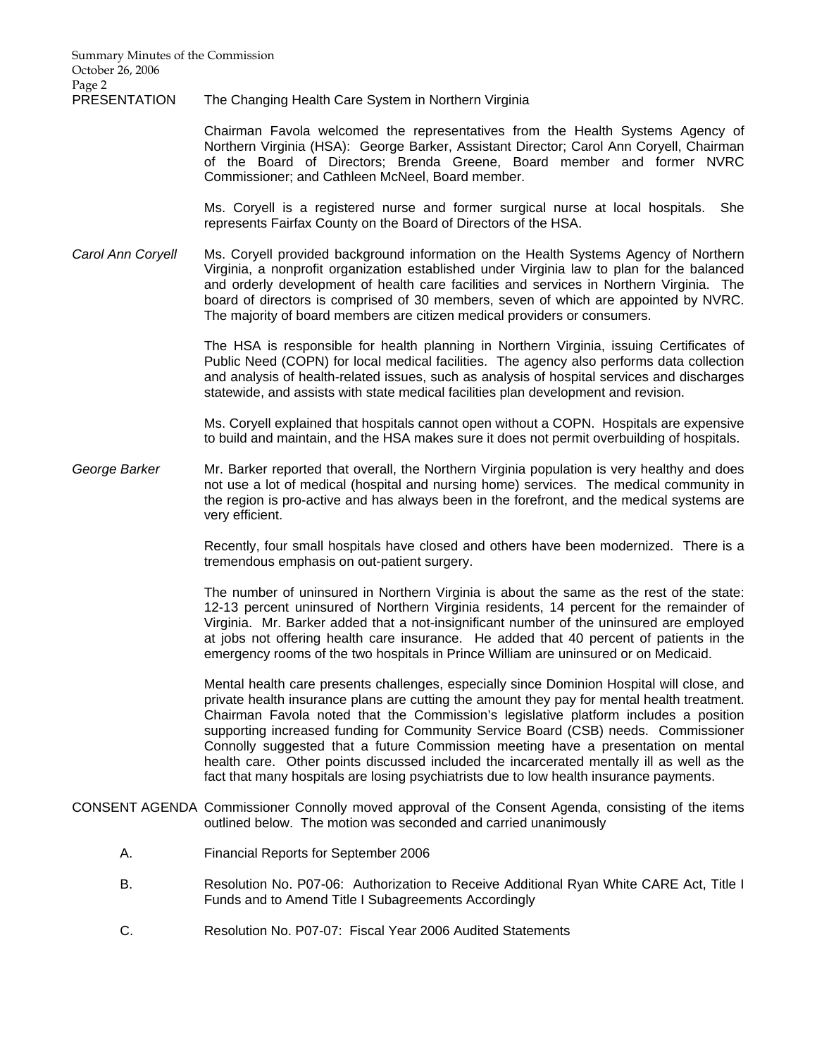Summary Minutes of the Commission October 26, 2006 Page 2

PRESENTATION The Changing Health Care System in Northern Virginia

 Chairman Favola welcomed the representatives from the Health Systems Agency of Northern Virginia (HSA): George Barker, Assistant Director; Carol Ann Coryell, Chairman of the Board of Directors; Brenda Greene, Board member and former NVRC Commissioner; and Cathleen McNeel, Board member.

 Ms. Coryell is a registered nurse and former surgical nurse at local hospitals. She represents Fairfax County on the Board of Directors of the HSA.

*Carol Ann Coryell* Ms. Coryell provided background information on the Health Systems Agency of Northern Virginia, a nonprofit organization established under Virginia law to plan for the balanced and orderly development of health care facilities and services in Northern Virginia. The board of directors is comprised of 30 members, seven of which are appointed by NVRC. The majority of board members are citizen medical providers or consumers.

> The HSA is responsible for health planning in Northern Virginia, issuing Certificates of Public Need (COPN) for local medical facilities. The agency also performs data collection and analysis of health-related issues, such as analysis of hospital services and discharges statewide, and assists with state medical facilities plan development and revision.

> Ms. Coryell explained that hospitals cannot open without a COPN. Hospitals are expensive to build and maintain, and the HSA makes sure it does not permit overbuilding of hospitals.

*George Barker* Mr. Barker reported that overall, the Northern Virginia population is very healthy and does not use a lot of medical (hospital and nursing home) services. The medical community in the region is pro-active and has always been in the forefront, and the medical systems are very efficient.

> Recently, four small hospitals have closed and others have been modernized. There is a tremendous emphasis on out-patient surgery.

> The number of uninsured in Northern Virginia is about the same as the rest of the state: 12-13 percent uninsured of Northern Virginia residents, 14 percent for the remainder of Virginia. Mr. Barker added that a not-insignificant number of the uninsured are employed at jobs not offering health care insurance. He added that 40 percent of patients in the emergency rooms of the two hospitals in Prince William are uninsured or on Medicaid.

> Mental health care presents challenges, especially since Dominion Hospital will close, and private health insurance plans are cutting the amount they pay for mental health treatment. Chairman Favola noted that the Commission's legislative platform includes a position supporting increased funding for Community Service Board (CSB) needs. Commissioner Connolly suggested that a future Commission meeting have a presentation on mental health care. Other points discussed included the incarcerated mentally ill as well as the fact that many hospitals are losing psychiatrists due to low health insurance payments.

- CONSENT AGENDA Commissioner Connolly moved approval of the Consent Agenda, consisting of the items outlined below. The motion was seconded and carried unanimously
	- A. Financial Reports for September 2006
	- B. Resolution No. P07-06: Authorization to Receive Additional Ryan White CARE Act, Title I Funds and to Amend Title I Subagreements Accordingly
	- C. Resolution No. P07-07: Fiscal Year 2006 Audited Statements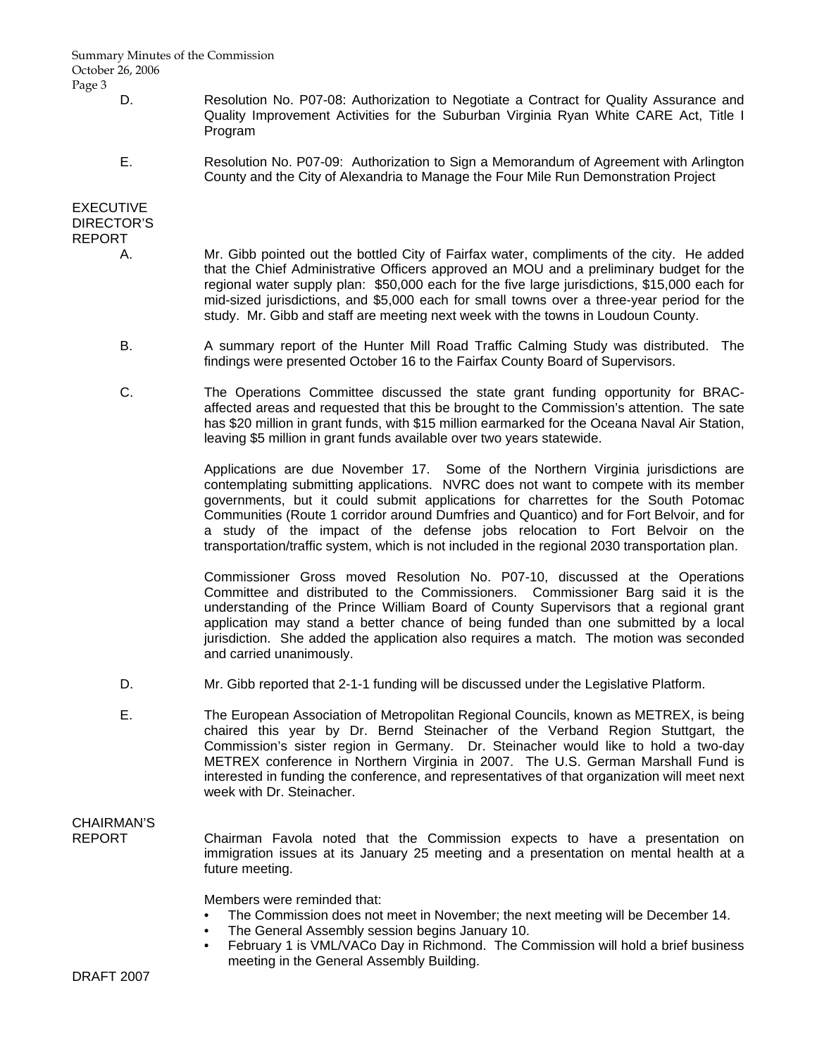#### Summary Minutes of the Commission October 26, 2006 Page 3

- D. Resolution No. P07-08: Authorization to Negotiate a Contract for Quality Assurance and Quality Improvement Activities for the Suburban Virginia Ryan White CARE Act, Title I Program
- E. Resolution No. P07-09: Authorization to Sign a Memorandum of Agreement with Arlington County and the City of Alexandria to Manage the Four Mile Run Demonstration Project

### EXECUTIVE DIRECTOR'S REPORT

- A. Mr. Gibb pointed out the bottled City of Fairfax water, compliments of the city. He added that the Chief Administrative Officers approved an MOU and a preliminary budget for the regional water supply plan: \$50,000 each for the five large jurisdictions, \$15,000 each for mid-sized jurisdictions, and \$5,000 each for small towns over a three-year period for the study. Mr. Gibb and staff are meeting next week with the towns in Loudoun County.
- B. A summary report of the Hunter Mill Road Traffic Calming Study was distributed. The findings were presented October 16 to the Fairfax County Board of Supervisors.
- C. The Operations Committee discussed the state grant funding opportunity for BRACaffected areas and requested that this be brought to the Commission's attention. The sate has \$20 million in grant funds, with \$15 million earmarked for the Oceana Naval Air Station, leaving \$5 million in grant funds available over two years statewide.

 Applications are due November 17. Some of the Northern Virginia jurisdictions are contemplating submitting applications. NVRC does not want to compete with its member governments, but it could submit applications for charrettes for the South Potomac Communities (Route 1 corridor around Dumfries and Quantico) and for Fort Belvoir, and for a study of the impact of the defense jobs relocation to Fort Belvoir on the transportation/traffic system, which is not included in the regional 2030 transportation plan.

 Commissioner Gross moved Resolution No. P07-10, discussed at the Operations Committee and distributed to the Commissioners. Commissioner Barg said it is the understanding of the Prince William Board of County Supervisors that a regional grant application may stand a better chance of being funded than one submitted by a local jurisdiction. She added the application also requires a match. The motion was seconded and carried unanimously.

- D. Mr. Gibb reported that 2-1-1 funding will be discussed under the Legislative Platform.
- E. The European Association of Metropolitan Regional Councils, known as METREX, is being chaired this year by Dr. Bernd Steinacher of the Verband Region Stuttgart, the Commission's sister region in Germany. Dr. Steinacher would like to hold a two-day METREX conference in Northern Virginia in 2007. The U.S. German Marshall Fund is interested in funding the conference, and representatives of that organization will meet next week with Dr. Steinacher.

# CHAIRMAN'S

REPORT Chairman Favola noted that the Commission expects to have a presentation on immigration issues at its January 25 meeting and a presentation on mental health at a future meeting.

Members were reminded that:

- The Commission does not meet in November; the next meeting will be December 14.
- The General Assembly session begins January 10.
- February 1 is VML/VACo Day in Richmond. The Commission will hold a brief business meeting in the General Assembly Building.

DRAFT 2007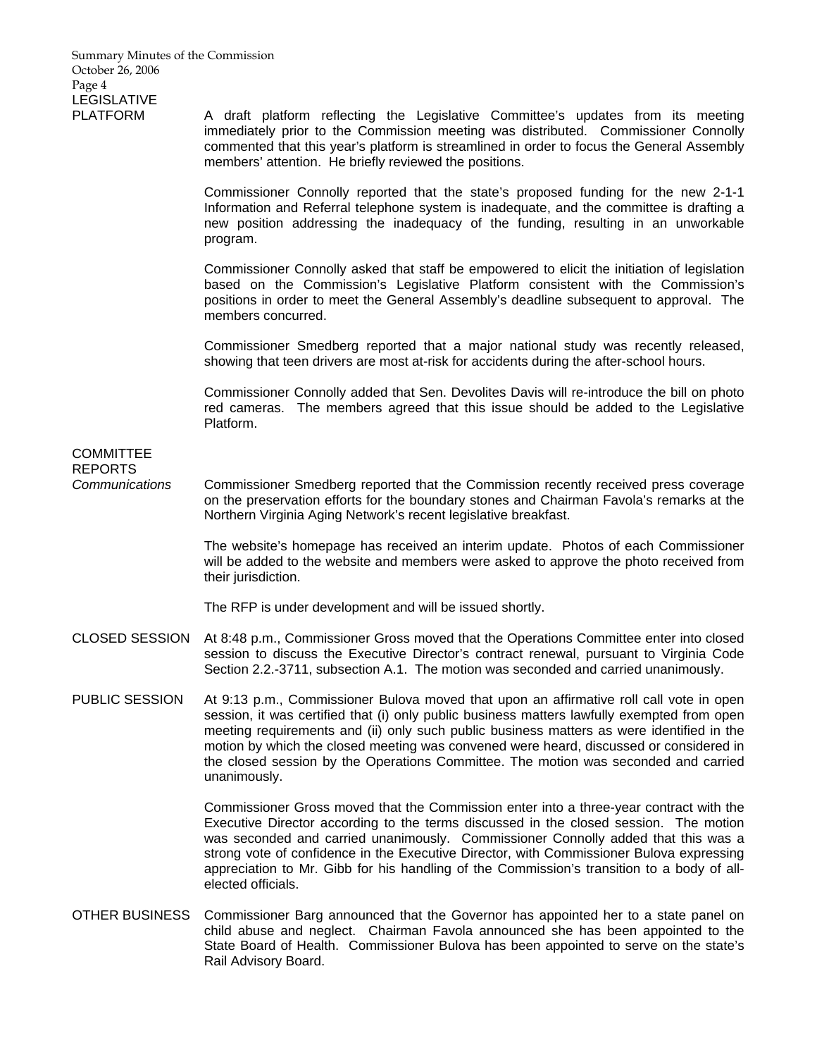PLATFORM A draft platform reflecting the Legislative Committee's updates from its meeting immediately prior to the Commission meeting was distributed. Commissioner Connolly commented that this year's platform is streamlined in order to focus the General Assembly members' attention. He briefly reviewed the positions.

> Commissioner Connolly reported that the state's proposed funding for the new 2-1-1 Information and Referral telephone system is inadequate, and the committee is drafting a new position addressing the inadequacy of the funding, resulting in an unworkable program.

> Commissioner Connolly asked that staff be empowered to elicit the initiation of legislation based on the Commission's Legislative Platform consistent with the Commission's positions in order to meet the General Assembly's deadline subsequent to approval. The members concurred.

> Commissioner Smedberg reported that a major national study was recently released, showing that teen drivers are most at-risk for accidents during the after-school hours.

> Commissioner Connolly added that Sen. Devolites Davis will re-introduce the bill on photo red cameras. The members agreed that this issue should be added to the Legislative Platform.

## **COMMITTEE** REPORTS

*Communications* Commissioner Smedberg reported that the Commission recently received press coverage on the preservation efforts for the boundary stones and Chairman Favola's remarks at the Northern Virginia Aging Network's recent legislative breakfast.

> The website's homepage has received an interim update. Photos of each Commissioner will be added to the website and members were asked to approve the photo received from their jurisdiction.

The RFP is under development and will be issued shortly.

- CLOSED SESSION At 8:48 p.m., Commissioner Gross moved that the Operations Committee enter into closed session to discuss the Executive Director's contract renewal, pursuant to Virginia Code Section 2.2.-3711, subsection A.1. The motion was seconded and carried unanimously.
- PUBLIC SESSION At 9:13 p.m., Commissioner Bulova moved that upon an affirmative roll call vote in open session, it was certified that (i) only public business matters lawfully exempted from open meeting requirements and (ii) only such public business matters as were identified in the motion by which the closed meeting was convened were heard, discussed or considered in the closed session by the Operations Committee. The motion was seconded and carried unanimously.

 Commissioner Gross moved that the Commission enter into a three-year contract with the Executive Director according to the terms discussed in the closed session. The motion was seconded and carried unanimously. Commissioner Connolly added that this was a strong vote of confidence in the Executive Director, with Commissioner Bulova expressing appreciation to Mr. Gibb for his handling of the Commission's transition to a body of allelected officials.

OTHER BUSINESS Commissioner Barg announced that the Governor has appointed her to a state panel on child abuse and neglect. Chairman Favola announced she has been appointed to the State Board of Health. Commissioner Bulova has been appointed to serve on the state's Rail Advisory Board.